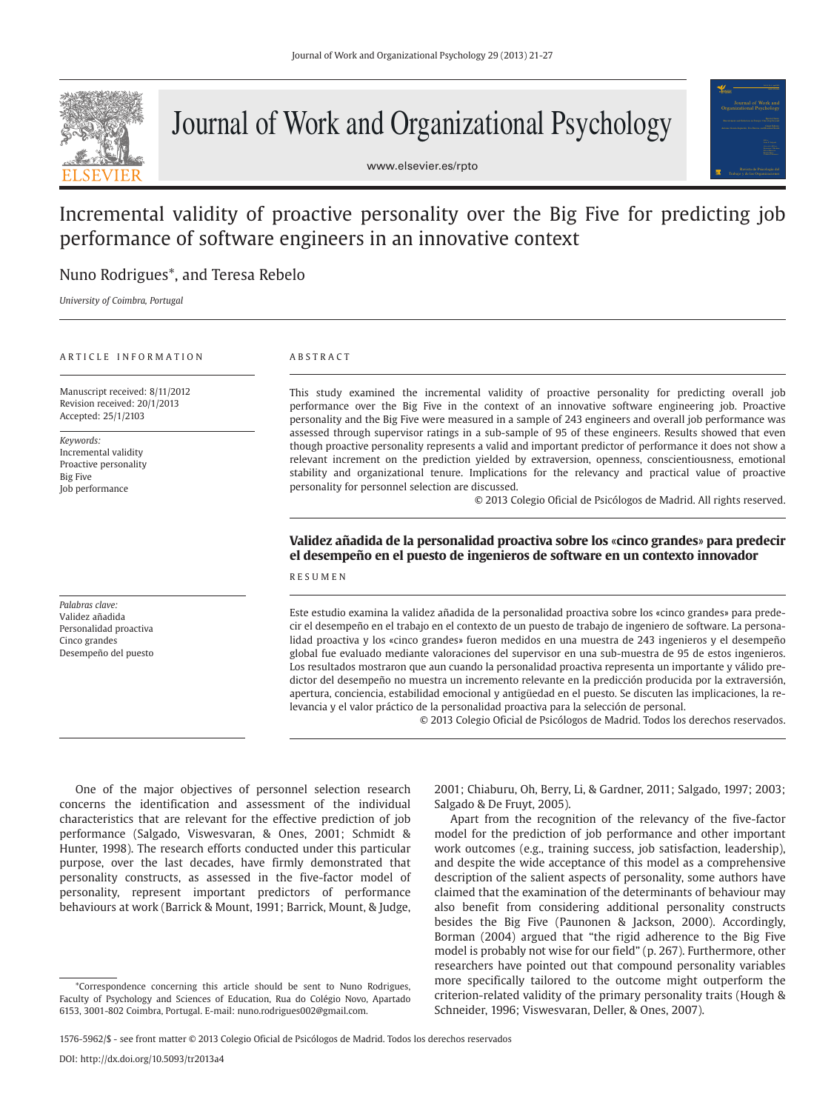

# Journal of Work and Organizational Psychology

www.elsevier.es/rpto



# Incremental validity of proactive personality over the Big Five for predicting job performance of software engineers in an innovative context

# Nuno Rodrigues\*, and Teresa Rebelo

*University of Coimbra, Portugal*

## ARTICLE INFORMATION

Manuscript received: 8/11/2012 Revision received: 20/1/2013 Accepted: 25/1/2103

*Keywords:*  Incremental validity Proactive personality Big Five Job performance

*Palabras clave:* Validez añadida Personalidad proactiva Cinco grandes Desempeño del puesto

# ABSTRACT

This study examined the incremental validity of proactive personality for predicting overall job performance over the Big Five in the context of an innovative software engineering job. Proactive personality and the Big Five were measured in a sample of 243 engineers and overall job performance was assessed through supervisor ratings in a sub-sample of 95 of these engineers. Results showed that even though proactive personality represents a valid and important predictor of performance it does not show a relevant increment on the prediction yielded by extraversion, openness, conscientiousness, emotional stability and organizational tenure. Implications for the relevancy and practical value of proactive personality for personnel selection are discussed.

© 2013 Colegio Oficial de Psicólogos de Madrid. All rights reserved.

# **Validez añadida de la personalidad proactiva sobre los** «**cinco grandes**» **para predecir el desempeño en el puesto de ingenieros de software en un contexto innovador**

# RESUMEN

Este estudio examina la validez añadida de la personalidad proactiva sobre los «cinco grandes» para predecir el desempeño en el trabajo en el contexto de un puesto de trabajo de ingeniero de software. La personalidad proactiva y los «cinco grandes» fueron medidos en una muestra de 243 ingenieros y el desempeño global fue evaluado mediante valoraciones del supervisor en una sub-muestra de 95 de estos ingenieros. Los resultados mostraron que aun cuando la personalidad proactiva representa un importante y válido predictor del desempeño no muestra un incremento relevante en la predicción producida por la extraversión, apertura, conciencia, estabilidad emocional y antigüedad en el puesto. Se discuten las implicaciones, la relevancia y el valor práctico de la personalidad proactiva para la selección de personal.

© 2013 Colegio Oficial de Psicólogos de Madrid. Todos los derechos reservados.

One of the major objectives of personnel selection research concerns the identification and assessment of the individual characteristics that are relevant for the effective prediction of job performance (Salgado, Viswesvaran, & Ones, 2001; Schmidt & Hunter, 1998). The research efforts conducted under this particular purpose, over the last decades, have firmly demonstrated that personality constructs, as assessed in the five-factor model of personality, represent important predictors of performance behaviours at work (Barrick & Mount, 1991; Barrick, Mount, & Judge,

2001; Chiaburu, Oh, Berry, Li, & Gardner, 2011; Salgado, 1997; 2003; Salgado & De Fruyt, 2005).

Apart from the recognition of the relevancy of the five-factor model for the prediction of job performance and other important work outcomes (e.g., training success, job satisfaction, leadership), and despite the wide acceptance of this model as a comprehensive description of the salient aspects of personality, some authors have claimed that the examination of the determinants of behaviour may also benefit from considering additional personality constructs besides the Big Five (Paunonen & Jackson, 2000). Accordingly, Borman (2004) argued that "the rigid adherence to the Big Five model is probably not wise for our field" (p. 267). Furthermore, other researchers have pointed out that compound personality variables more specifically tailored to the outcome might outperform the criterion-related validity of the primary personality traits (Hough & Schneider, 1996; Viswesvaran, Deller, & Ones, 2007).

1576-5962/\$ - see front matter © 2013 Colegio Oficial de Psicólogos de Madrid. Todos los derechos reservados

<sup>\*</sup>Correspondence concerning this article should be sent to Nuno Rodrigues, Faculty of Psychology and Sciences of Education, Rua do Colégio Novo, Apartado 6153, 3001-802 Coimbra, Portugal. E-mail: nuno.rodrigues002@gmail.com.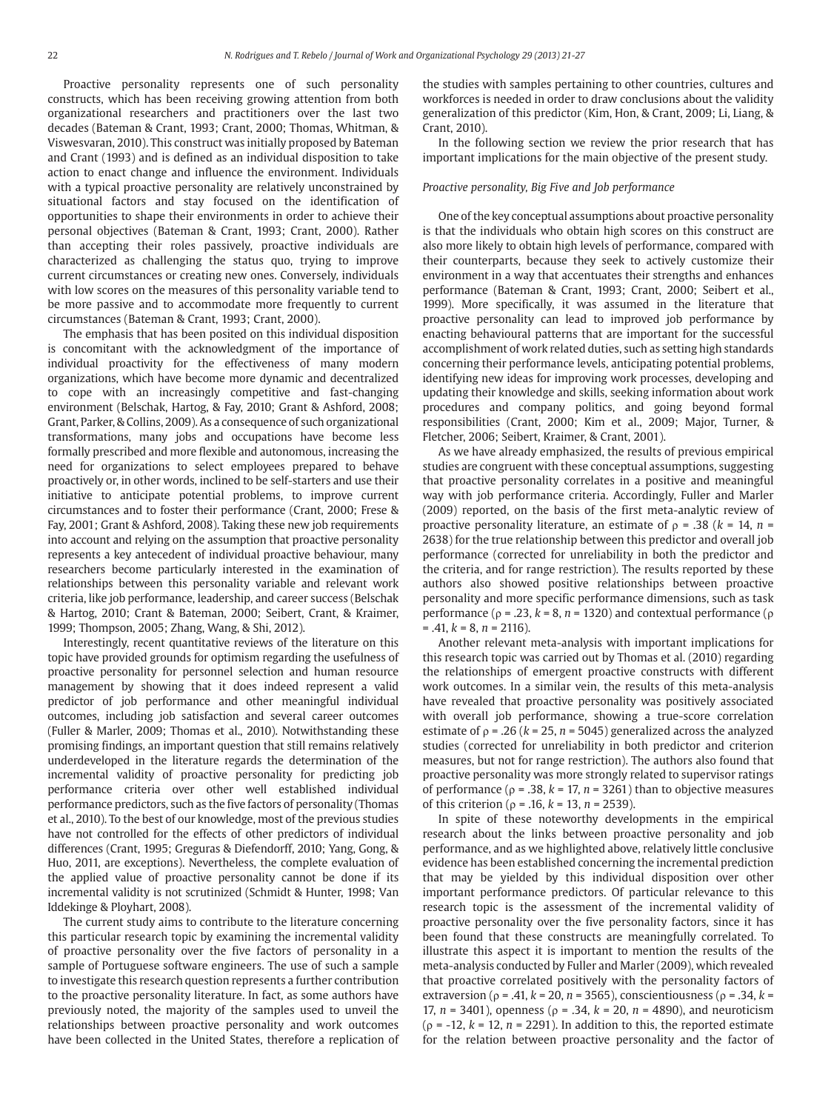Proactive personality represents one of such personality constructs, which has been receiving growing attention from both organizational researchers and practitioners over the last two decades (Bateman & Crant, 1993; Crant, 2000; Thomas, Whitman, & Viswesvaran, 2010). This construct was initially proposed by Bateman and Crant (1993) and is defined as an individual disposition to take action to enact change and influence the environment. Individuals with a typical proactive personality are relatively unconstrained by situational factors and stay focused on the identification of opportunities to shape their environments in order to achieve their personal objectives (Bateman & Crant, 1993; Crant, 2000). Rather than accepting their roles passively, proactive individuals are characterized as challenging the status quo, trying to improve current circumstances or creating new ones. Conversely, individuals with low scores on the measures of this personality variable tend to be more passive and to accommodate more frequently to current circumstances (Bateman & Crant, 1993; Crant, 2000).

The emphasis that has been posited on this individual disposition is concomitant with the acknowledgment of the importance of individual proactivity for the effectiveness of many modern organizations, which have become more dynamic and decentralized to cope with an increasingly competitive and fast-changing environment (Belschak, Hartog, & Fay, 2010; Grant & Ashford, 2008; Grant, Parker, & Collins, 2009). As a consequence of such organizational transformations, many jobs and occupations have become less formally prescribed and more flexible and autonomous, increasing the need for organizations to select employees prepared to behave proactively or, in other words, inclined to be self-starters and use their initiative to anticipate potential problems, to improve current circumstances and to foster their performance (Crant, 2000; Frese & Fay, 2001; Grant & Ashford, 2008). Taking these new job requirements into account and relying on the assumption that proactive personality represents a key antecedent of individual proactive behaviour, many researchers become particularly interested in the examination of relationships between this personality variable and relevant work criteria, like job performance, leadership, and career success (Belschak & Hartog, 2010; Crant & Bateman, 2000; Seibert, Crant, & Kraimer, 1999; Thompson, 2005; Zhang, Wang, & Shi, 2012).

Interestingly, recent quantitative reviews of the literature on this topic have provided grounds for optimism regarding the usefulness of proactive personality for personnel selection and human resource management by showing that it does indeed represent a valid predictor of job performance and other meaningful individual outcomes, including job satisfaction and several career outcomes (Fuller & Marler, 2009; Thomas et al., 2010). Notwithstanding these promising findings, an important question that still remains relatively underdeveloped in the literature regards the determination of the incremental validity of proactive personality for predicting job performance criteria over other well established individual performance predictors, such as the five factors of personality (Thomas et al., 2010). To the best of our knowledge, most of the previous studies have not controlled for the effects of other predictors of individual differences (Crant, 1995; Greguras & Diefendorff, 2010; Yang, Gong, & Huo, 2011, are exceptions). Nevertheless, the complete evaluation of the applied value of proactive personality cannot be done if its incremental validity is not scrutinized (Schmidt & Hunter, 1998; Van Iddekinge & Ployhart, 2008).

The current study aims to contribute to the literature concerning this particular research topic by examining the incremental validity of proactive personality over the five factors of personality in a sample of Portuguese software engineers. The use of such a sample to investigate this research question represents a further contribution to the proactive personality literature. In fact, as some authors have previously noted, the majority of the samples used to unveil the relationships between proactive personality and work outcomes have been collected in the United States, therefore a replication of the studies with samples pertaining to other countries, cultures and workforces is needed in order to draw conclusions about the validity generalization of this predictor (Kim, Hon, & Crant, 2009; Li, Liang, & Crant, 2010).

In the following section we review the prior research that has important implications for the main objective of the present study.

# *Proactive personality, Big Five and Job performance*

One of the key conceptual assumptions about proactive personality is that the individuals who obtain high scores on this construct are also more likely to obtain high levels of performance, compared with their counterparts, because they seek to actively customize their environment in a way that accentuates their strengths and enhances performance (Bateman & Crant, 1993; Crant, 2000; Seibert et al., 1999). More specifically, it was assumed in the literature that proactive personality can lead to improved job performance by enacting behavioural patterns that are important for the successful accomplishment of work related duties, such as setting high standards concerning their performance levels, anticipating potential problems, identifying new ideas for improving work processes, developing and updating their knowledge and skills, seeking information about work procedures and company politics, and going beyond formal responsibilities (Crant, 2000; Kim et al., 2009; Major, Turner, & Fletcher, 2006; Seibert, Kraimer, & Crant, 2001).

As we have already emphasized, the results of previous empirical studies are congruent with these conceptual assumptions, suggesting that proactive personality correlates in a positive and meaningful way with job performance criteria. Accordingly, Fuller and Marler (2009) reported, on the basis of the first meta-analytic review of proactive personality literature, an estimate of ρ = .38 (*k* = 14, *n* = 2638) for the true relationship between this predictor and overall job performance (corrected for unreliability in both the predictor and the criteria, and for range restriction). The results reported by these authors also showed positive relationships between proactive personality and more specific performance dimensions, such as task performance ( $ρ = .23$ ,  $k = 8$ ,  $n = 1320$ ) and contextual performance ( $ρ$  $= .41, k = 8, n = 2116$ .

Another relevant meta-analysis with important implications for this research topic was carried out by Thomas et al. (2010) regarding the relationships of emergent proactive constructs with different work outcomes. In a similar vein, the results of this meta-analysis have revealed that proactive personality was positively associated with overall job performance, showing a true-score correlation estimate of  $\rho$  = .26 ( $k$  = 25,  $n$  = 5045) generalized across the analyzed studies (corrected for unreliability in both predictor and criterion measures, but not for range restriction). The authors also found that proactive personality was more strongly related to supervisor ratings of performance ( $\rho$  = .38,  $k$  = 17,  $n$  = 3261) than to objective measures of this criterion (ρ = .16, *k* = 13, *n* = 2539).

In spite of these noteworthy developments in the empirical research about the links between proactive personality and job performance, and as we highlighted above, relatively little conclusive evidence has been established concerning the incremental prediction that may be yielded by this individual disposition over other important performance predictors. Of particular relevance to this research topic is the assessment of the incremental validity of proactive personality over the five personality factors, since it has been found that these constructs are meaningfully correlated. To illustrate this aspect it is important to mention the results of the meta-analysis conducted by Fuller and Marler (2009), which revealed that proactive correlated positively with the personality factors of extraversion ( $ρ = .41$ ,  $k = 20$ ,  $n = 3565$ ), conscientiousness ( $ρ = .34$ ,  $k =$ 17, *n* = 3401), openness (ρ = .34, *k* = 20, *n* = 4890), and neuroticism (ρ = -12, *k* = 12, *n* = 2291). In addition to this, the reported estimate for the relation between proactive personality and the factor of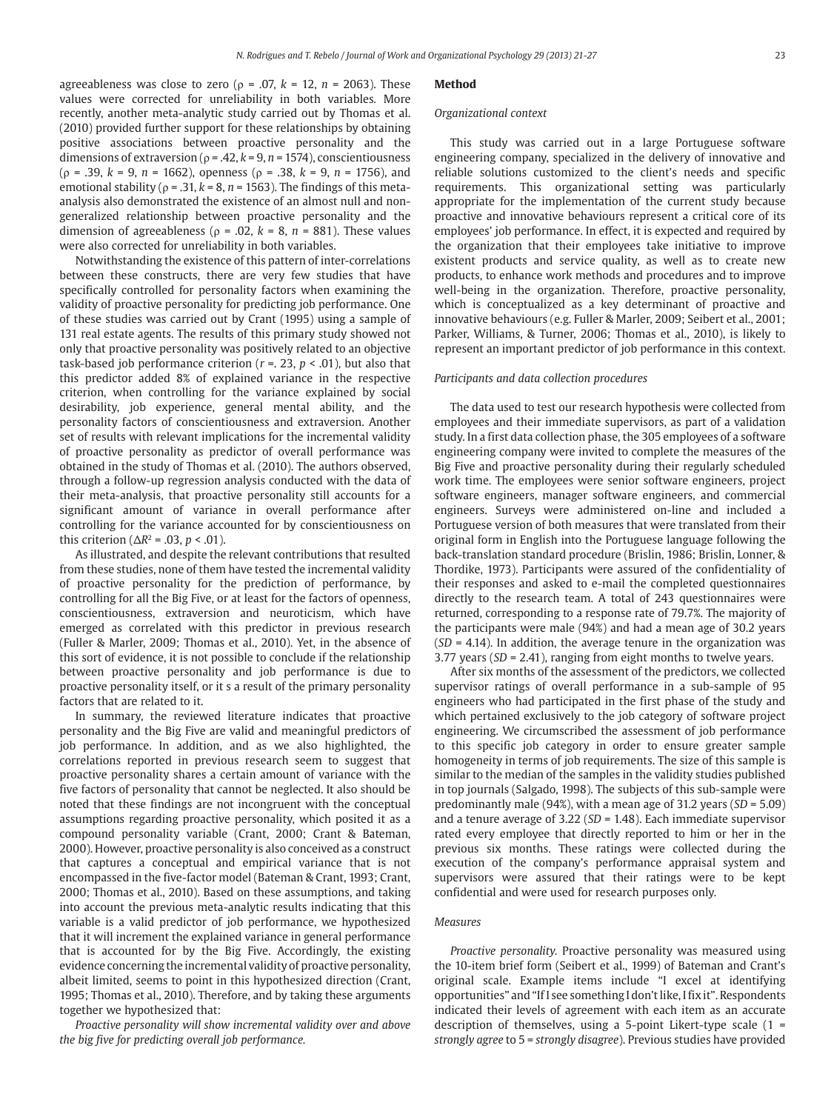agreeableness was close to zero ( $\rho = .07$ ,  $k = 12$ ,  $n = 2063$ ). These values were corrected for unreliability in both variables*.* More recently, another meta-analytic study carried out by Thomas et al. (2010) provided further support for these relationships by obtaining positive associations between proactive personality and the dimensions of extraversion (ρ = .42, *k* = 9, *n* = 1574), conscientiousness (ρ = .39, *k* = 9, *n* = 1662), openness (ρ = .38, *k* = 9, *n* = 1756), and emotional stability ( $\rho = 0.31$ ,  $k = 8$ ,  $n = 1563$ ). The findings of this metaanalysis also demonstrated the existence of an almost null and nongeneralized relationship between proactive personality and the dimension of agreeableness ( $\rho$  = .02,  $k$  = 8,  $n$  = 881). These values were also corrected for unreliability in both variables.

Notwithstanding the existence of this pattern of inter-correlations between these constructs, there are very few studies that have specifically controlled for personality factors when examining the validity of proactive personality for predicting job performance. One of these studies was carried out by Crant (1995) using a sample of 131 real estate agents. The results of this primary study showed not only that proactive personality was positively related to an objective task-based job performance criterion (*r* =. 23, *p* < .01), but also that this predictor added 8% of explained variance in the respective criterion, when controlling for the variance explained by social desirability, job experience, general mental ability, and the personality factors of conscientiousness and extraversion. Another set of results with relevant implications for the incremental validity of proactive personality as predictor of overall performance was obtained in the study of Thomas et al. (2010). The authors observed, through a follow-up regression analysis conducted with the data of their meta-analysis, that proactive personality still accounts for a significant amount of variance in overall performance after controlling for the variance accounted for by conscientiousness on this criterion ( $\Delta R$ <sup>2</sup> = .03, *p* < .01).

As illustrated, and despite the relevant contributions that resulted from these studies, none of them have tested the incremental validity of proactive personality for the prediction of performance, by controlling for all the Big Five, or at least for the factors of openness, conscientiousness, extraversion and neuroticism, which have emerged as correlated with this predictor in previous research (Fuller & Marler, 2009; Thomas et al., 2010). Yet, in the absence of this sort of evidence, it is not possible to conclude if the relationship between proactive personality and job performance is due to proactive personality itself, or it s a result of the primary personality factors that are related to it.

In summary, the reviewed literature indicates that proactive personality and the Big Five are valid and meaningful predictors of job performance. In addition, and as we also highlighted, the correlations reported in previous research seem to suggest that proactive personality shares a certain amount of variance with the five factors of personality that cannot be neglected. It also should be noted that these findings are not incongruent with the conceptual assumptions regarding proactive personality, which posited it as a compound personality variable (Crant, 2000; Crant & Bateman, 2000). However, proactive personality is also conceived as a construct that captures a conceptual and empirical variance that is not encompassed in the five-factor model (Bateman & Crant, 1993; Crant, 2000; Thomas et al., 2010). Based on these assumptions, and taking into account the previous meta-analytic results indicating that this variable is a valid predictor of job performance, we hypothesized that it will increment the explained variance in general performance that is accounted for by the Big Five. Accordingly, the existing evidence concerning the incremental validity of proactive personality, albeit limited, seems to point in this hypothesized direction (Crant, 1995; Thomas et al., 2010). Therefore, and by taking these arguments together we hypothesized that:

*Proactive personality will show incremental validity over and above the big five for predicting overall job performance.*

# **Method**

#### *Organizational context*

This study was carried out in a large Portuguese software engineering company, specialized in the delivery of innovative and reliable solutions customized to the client's needs and specific requirements. This organizational setting was particularly appropriate for the implementation of the current study because proactive and innovative behaviours represent a critical core of its employees' job performance. In effect, it is expected and required by the organization that their employees take initiative to improve existent products and service quality, as well as to create new products, to enhance work methods and procedures and to improve well-being in the organization. Therefore, proactive personality, which is conceptualized as a key determinant of proactive and innovative behaviours (e.g. Fuller & Marler, 2009; Seibert et al., 2001; Parker, Williams, & Turner, 2006; Thomas et al., 2010), is likely to represent an important predictor of job performance in this context.

# *Participants and data collection procedures*

The data used to test our research hypothesis were collected from employees and their immediate supervisors, as part of a validation study. In a first data collection phase, the 305 employees of a software engineering company were invited to complete the measures of the Big Five and proactive personality during their regularly scheduled work time. The employees were senior software engineers, project software engineers, manager software engineers, and commercial engineers. Surveys were administered on-line and included a Portuguese version of both measures that were translated from their original form in English into the Portuguese language following the back-translation standard procedure (Brislin, 1986; Brislin, Lonner, & Thordike, 1973). Participants were assured of the confidentiality of their responses and asked to e-mail the completed questionnaires directly to the research team. A total of 243 questionnaires were returned, corresponding to a response rate of 79.7%. The majority of the participants were male (94%) and had a mean age of 30.2 years (*SD* = 4.14). In addition, the average tenure in the organization was 3.77 years (*SD* = 2.41), ranging from eight months to twelve years.

After six months of the assessment of the predictors, we collected supervisor ratings of overall performance in a sub-sample of 95 engineers who had participated in the first phase of the study and which pertained exclusively to the job category of software project engineering. We circumscribed the assessment of job performance to this specific job category in order to ensure greater sample homogeneity in terms of job requirements. The size of this sample is similar to the median of the samples in the validity studies published in top journals (Salgado, 1998). The subjects of this sub-sample were predominantly male (94%), with a mean age of 31.2 years (*SD* = 5.09) and a tenure average of 3.22 (*SD* = 1.48). Each immediate supervisor rated every employee that directly reported to him or her in the previous six months. These ratings were collected during the execution of the company's performance appraisal system and supervisors were assured that their ratings were to be kept confidential and were used for research purposes only.

# *Measures*

*Proactive personality.* Proactive personality was measured using the 10-item brief form (Seibert et al., 1999) of Bateman and Crant's original scale. Example items include "I excel at identifying opportunities" and "If I see something I don't like, I fix it". Respondents indicated their levels of agreement with each item as an accurate description of themselves, using a 5-point Likert-type scale (1 = *strongly agree* to 5 = *strongly disagree*). Previous studies have provided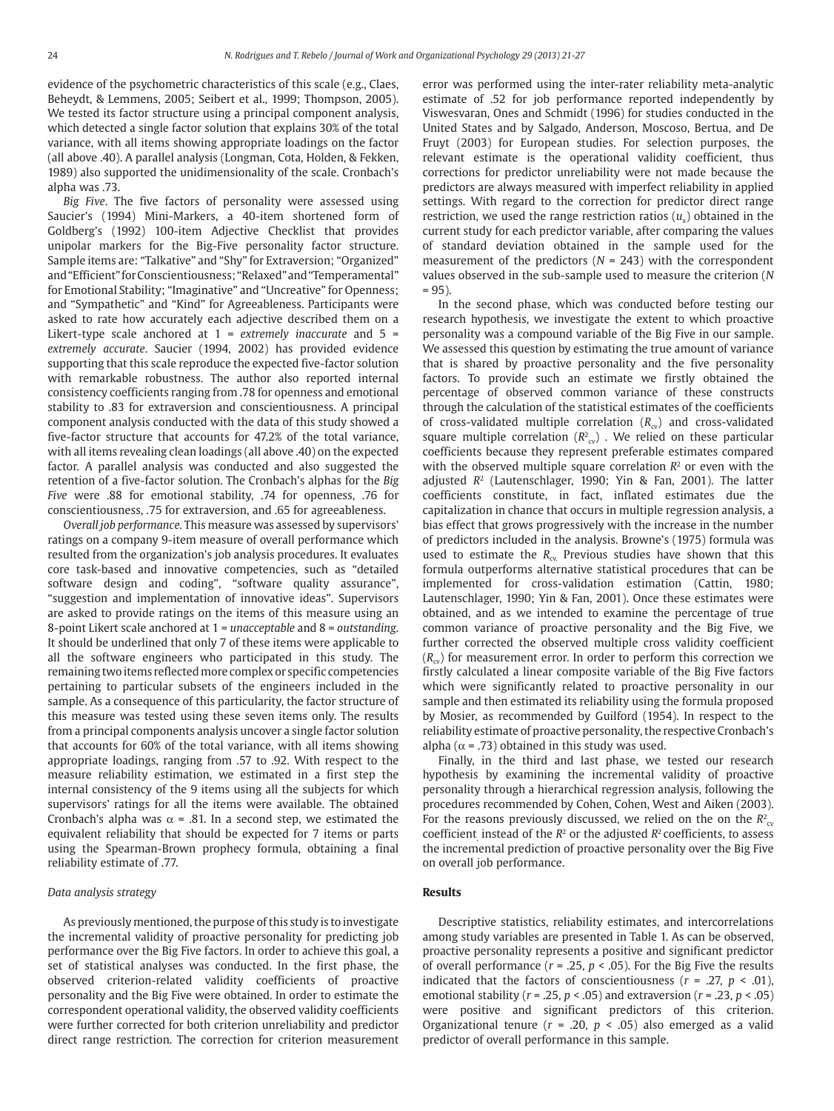evidence of the psychometric characteristics of this scale (e.g., Claes, Beheydt, & Lemmens, 2005; Seibert et al., 1999; Thompson, 2005). We tested its factor structure using a principal component analysis, which detected a single factor solution that explains 30% of the total variance, with all items showing appropriate loadings on the factor (all above .40). A parallel analysis (Longman, Cota, Holden, & Fekken, 1989) also supported the unidimensionality of the scale. Cronbach's alpha was .73.

*Big Five*. The five factors of personality were assessed using Saucier's (1994) Mini-Markers, a 40-item shortened form of Goldberg's (1992) 100-item Adjective Checklist that provides unipolar markers for the Big-Five personality factor structure. Sample items are: "Talkative" and "Shy" for Extraversion; "Organized" and "Efficient" for Conscientiousness; "Relaxed" and "Temperamental" for Emotional Stability; "Imaginative" and "Uncreative" for Openness; and "Sympathetic" and "Kind" for Agreeableness. Participants were asked to rate how accurately each adjective described them on a Likert-type scale anchored at 1 = *extremely inaccurate* and 5 = *extremely accurate*. Saucier (1994, 2002) has provided evidence supporting that this scale reproduce the expected five-factor solution with remarkable robustness. The author also reported internal consistency coefficients ranging from .78 for openness and emotional stability to .83 for extraversion and conscientiousness. A principal component analysis conducted with the data of this study showed a five-factor structure that accounts for 47.2% of the total variance, with all items revealing clean loadings (all above .40) on the expected factor. A parallel analysis was conducted and also suggested the retention of a five-factor solution. The Cronbach's alphas for the *Big Five* were .88 for emotional stability, .74 for openness, .76 for conscientiousness, .75 for extraversion, and .65 for agreeableness.

*Overall job performance.* This measure was assessed by supervisors' ratings on a company 9-item measure of overall performance which resulted from the organization's job analysis procedures. It evaluates core task-based and innovative competencies, such as "detailed software design and coding", "software quality assurance", "suggestion and implementation of innovative ideas". Supervisors are asked to provide ratings on the items of this measure using an 8-point Likert scale anchored at 1 = *unacceptable* and 8 = *outstanding*. It should be underlined that only 7 of these items were applicable to all the software engineers who participated in this study. The remaining two items reflected more complex or specific competencies pertaining to particular subsets of the engineers included in the sample. As a consequence of this particularity, the factor structure of this measure was tested using these seven items only. The results from a principal components analysis uncover a single factor solution that accounts for 60% of the total variance, with all items showing appropriate loadings, ranging from .57 to .92. With respect to the measure reliability estimation, we estimated in a first step the internal consistency of the 9 items using all the subjects for which supervisors' ratings for all the items were available. The obtained Cronbach's alpha was  $\alpha$  = .81. In a second step, we estimated the equivalent reliability that should be expected for 7 items or parts using the Spearman-Brown prophecy formula, obtaining a final reliability estimate of .77.

# *Data analysis strategy*

As previously mentioned, the purpose of this study is to investigate the incremental validity of proactive personality for predicting job performance over the Big Five factors. In order to achieve this goal, a set of statistical analyses was conducted. In the first phase, the observed criterion-related validity coefficients of proactive personality and the Big Five were obtained. In order to estimate the correspondent operational validity, the observed validity coefficients were further corrected for both criterion unreliability and predictor direct range restriction. The correction for criterion measurement error was performed using the inter-rater reliability meta-analytic estimate of .52 for job performance reported independently by Viswesvaran, Ones and Schmidt (1996) for studies conducted in the United States and by Salgado, Anderson, Moscoso, Bertua, and De Fruyt (2003) for European studies. For selection purposes, the relevant estimate is the operational validity coefficient, thus corrections for predictor unreliability were not made because the predictors are always measured with imperfect reliability in applied settings. With regard to the correction for predictor direct range restriction, we used the range restriction ratios  $(u<sub>x</sub>)$  obtained in the current study for each predictor variable, after comparing the values of standard deviation obtained in the sample used for the measurement of the predictors (*N* = 243) with the correspondent values observed in the sub-sample used to measure the criterion (*N*   $= 95.$ 

In the second phase, which was conducted before testing our research hypothesis, we investigate the extent to which proactive personality was a compound variable of the Big Five in our sample. We assessed this question by estimating the true amount of variance that is shared by proactive personality and the five personality factors. To provide such an estimate we firstly obtained the percentage of observed common variance of these constructs through the calculation of the statistical estimates of the coefficients of cross-validated multiple correlation ( $R_{\text{cv}}$ ) and cross-validated square multiple correlation  $(R^2_{\text{cv}})$ . We relied on these particular coefficients because they represent preferable estimates compared with the observed multiple square correlation  $R<sup>2</sup>$  or even with the adjusted *R*2 (Lautenschlager, 1990; Yin & Fan, 2001). The latter coefficients constitute, in fact, inflated estimates due the capitalization in chance that occurs in multiple regression analysis, a bias effect that grows progressively with the increase in the number of predictors included in the analysis. Browne's (1975) formula was used to estimate the  $R_{\alpha}$ . Previous studies have shown that this formula outperforms alternative statistical procedures that can be implemented for cross-validation estimation (Cattin, 1980; Lautenschlager, 1990; Yin & Fan, 2001). Once these estimates were obtained, and as we intended to examine the percentage of true common variance of proactive personality and the Big Five, we further corrected the observed multiple cross validity coefficient  $(R_{cv})$  for measurement error. In order to perform this correction we firstly calculated a linear composite variable of the Big Five factors which were significantly related to proactive personality in our sample and then estimated its reliability using the formula proposed by Mosier, as recommended by Guilford (1954). In respect to the reliability estimate of proactive personality, the respective Cronbach's alpha ( $\alpha$  = .73) obtained in this study was used.

Finally, in the third and last phase, we tested our research hypothesis by examining the incremental validity of proactive personality through a hierarchical regression analysis, following the procedures recommended by Cohen, Cohen, West and Aiken (2003). For the reasons previously discussed, we relied on the on the  $R^2_{\alpha}$ coefficient instead of the  $R^2$  or the adjusted  $R^2$  coefficients, to assess the incremental prediction of proactive personality over the Big Five on overall job performance.

# **Results**

Descriptive statistics, reliability estimates, and intercorrelations among study variables are presented in Table 1. As can be observed, proactive personality represents a positive and significant predictor of overall performance (*r* = .25, *p* < .05). For the Big Five the results indicated that the factors of conscientiousness  $(r = .27, p < .01)$ , emotional stability (*r* = .25, *p* < .05) and extraversion (*r* = .23, *p* < .05) were positive and significant predictors of this criterion. Organizational tenure (*r* = .20, *p* < .05) also emerged as a valid predictor of overall performance in this sample.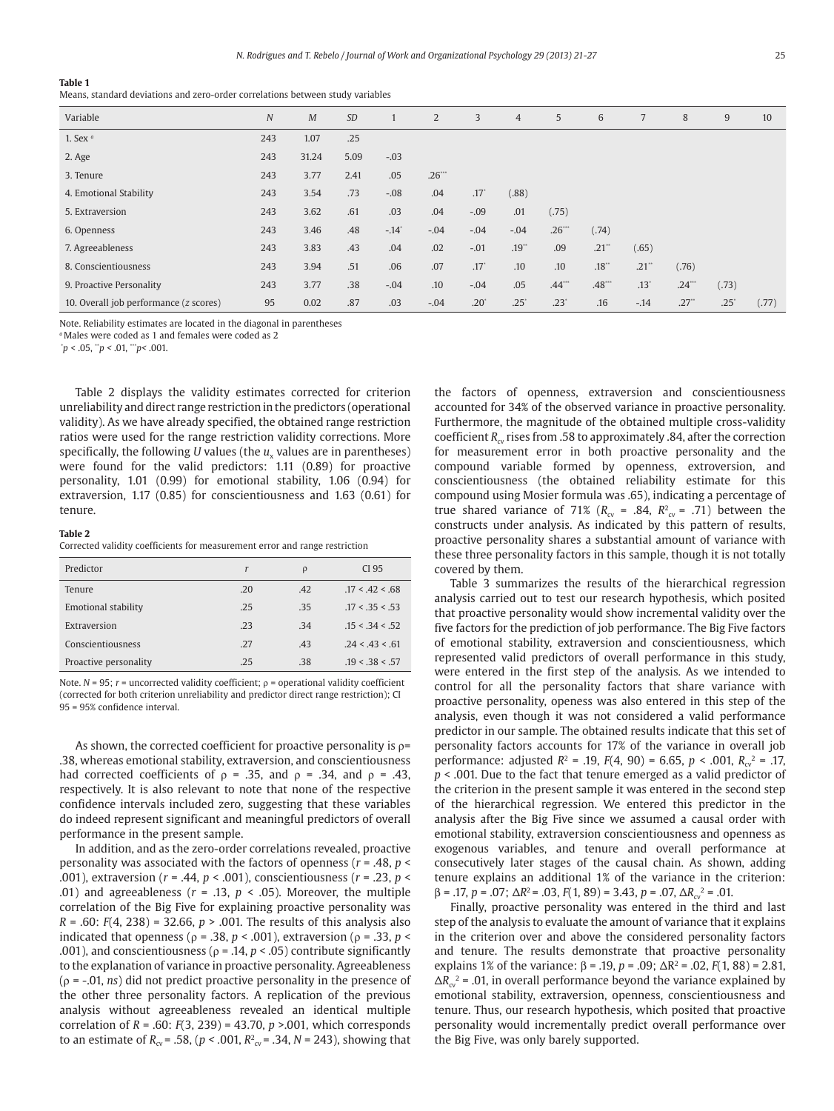**Table 1**

Means, standard deviations and zero-order correlations between study variables

| Variable                               | $\overline{N}$ | M     | <b>SD</b> |                     | 2      | 3             | $\overline{4}$ | 5             | 6                   | 7                   | 8                   | 9             | 10    |
|----------------------------------------|----------------|-------|-----------|---------------------|--------|---------------|----------------|---------------|---------------------|---------------------|---------------------|---------------|-------|
| 1. Sex $a$                             | 243            | 1.07  | .25       |                     |        |               |                |               |                     |                     |                     |               |       |
| 2. Age                                 | 243            | 31.24 | 5.09      | $-.03$              |        |               |                |               |                     |                     |                     |               |       |
| 3. Tenure                              | 243            | 3.77  | 2.41      | .05                 | .26    |               |                |               |                     |                     |                     |               |       |
| 4. Emotional Stability                 | 243            | 3.54  | .73       | $-.08$              | .04    | $.17^\circ$   | (.88)          |               |                     |                     |                     |               |       |
| 5. Extraversion                        | 243            | 3.62  | .61       | .03                 | .04    | $-.09$        | .01            | (.75)         |                     |                     |                     |               |       |
| 6. Openness                            | 243            | 3.46  | .48       | $-.14$ <sup>*</sup> | $-.04$ | $-.04$        | $-.04$         | .26           | (.74)               |                     |                     |               |       |
| 7. Agreeableness                       | 243            | 3.83  | .43       | .04                 | .02    | $-.01$        | $.19**$        | .09           | $.21$ <sup>**</sup> | (.65)               |                     |               |       |
| 8. Conscientiousness                   | 243            | 3.94  | .51       | .06                 | .07    | $.17^{\circ}$ | .10            | .10           | .18                 | $.21$ <sup>**</sup> | (.76)               |               |       |
| 9. Proactive Personality               | 243            | 3.77  | .38       | $-.04$              | .10    | $-.04$        | .05            | .44           | .48                 | $.13*$              | .24                 | (.73)         |       |
| 10. Overall job performance (z scores) | 95             | 0.02  | .87       | .03                 | $-.04$ | $.20^\circ$   | $.25^{\circ}$  | $.23^{\circ}$ | .16                 | $-14$               | $.27$ <sup>**</sup> | $.25^{\circ}$ | (.77) |

Note. Reliability estimates are located in the diagonal in parentheses

*<sup>a</sup>*Males were coded as 1 and females were coded as 2

\* *p* < .05, \*\**p <* .01, \*\*\**p<* .001.

Table 2 displays the validity estimates corrected for criterion unreliability and direct range restriction in the predictors (operational validity). As we have already specified, the obtained range restriction ratios were used for the range restriction validity corrections. More specifically, the following *U* values (the *u<sub>x</sub>* values are in parentheses) were found for the valid predictors: 1.11 (0.89) for proactive personality, 1.01 (0.99) for emotional stability, 1.06 (0.94) for extraversion, 1.17 (0.85) for conscientiousness and 1.63 (0.61) for tenure.

# **Table 2**

Corrected validity coefficients for measurement error and range restriction

| Predictor                  | r   | $\rho$ | CI 95           |
|----------------------------|-----|--------|-----------------|
| Tenure                     | .20 | .42    | .17 < .42 < .68 |
| <b>Emotional stability</b> | .25 | .35    | .17 < .35 < .53 |
| Extraversion               | .23 | .34    | .15 < 34 < 52   |
| Conscientiousness          | .27 | .43    | .24 < .43 < .61 |
| Proactive personality      | .25 | .38    | .19 < .38 < .57 |

Note. *N* = 95; *r* = uncorrected validity coefficient; ρ = operational validity coefficient (corrected for both criterion unreliability and predictor direct range restriction); CI 95 = 95% confidence interval.

As shown, the corrected coefficient for proactive personality is  $\rho=$ .38, whereas emotional stability, extraversion, and conscientiousness had corrected coefficients of  $ρ = .35$ , and  $ρ = .34$ , and  $ρ = .43$ , respectively. It is also relevant to note that none of the respective confidence intervals included zero, suggesting that these variables do indeed represent significant and meaningful predictors of overall performance in the present sample.

In addition, and as the zero-order correlations revealed, proactive personality was associated with the factors of openness (*r* = .48, *p* < .001), extraversion (*r* = .44, *p* < .001), conscientiousness (*r* = .23, *p* < .01) and agreeableness ( $r = .13$ ,  $p < .05$ ). Moreover, the multiple correlation of the Big Five for explaining proactive personality was *R* = .60: *F*(4, 238) = 32.66, *p* > .001. The results of this analysis also indicated that openness ( $ρ = .38$ ,  $p < .001$ ), extraversion ( $ρ = .33$ ,  $p <$ .001), and conscientiousness ( $\rho$  = .14,  $p$  < .05) contribute significantly to the explanation of variance in proactive personality. Agreeableness (ρ = -.01, *ns*) did not predict proactive personality in the presence of the other three personality factors. A replication of the previous analysis without agreeableness revealed an identical multiple correlation of *R* = .60: *F*(3, 239) = 43.70, *p* >.001*,* which corresponds to an estimate of  $R_{\text{cv}} = .58$ , ( $p < .001$ ,  $R_{\text{cv}}^2 = .34$ ,  $N = 243$ ), showing that the factors of openness, extraversion and conscientiousness accounted for 34% of the observed variance in proactive personality. Furthermore, the magnitude of the obtained multiple cross-validity coefficient *R<sub>av</sub>* rises from .58 to approximately .84, after the correction for measurement error in both proactive personality and the compound variable formed by openness, extroversion, and conscientiousness (the obtained reliability estimate for this compound using Mosier formula was .65), indicating a percentage of true shared variance of 71% ( $R_{\rm cv}$  = .84,  $R_{\rm cv}$  = .71) between the constructs under analysis. As indicated by this pattern of results, proactive personality shares a substantial amount of variance with these three personality factors in this sample, though it is not totally covered by them.

Table 3 summarizes the results of the hierarchical regression analysis carried out to test our research hypothesis, which posited that proactive personality would show incremental validity over the five factors for the prediction of job performance. The Big Five factors of emotional stability, extraversion and conscientiousness, which represented valid predictors of overall performance in this study, were entered in the first step of the analysis. As we intended to control for all the personality factors that share variance with proactive personality, openess was also entered in this step of the analysis, even though it was not considered a valid performance predictor in our sample. The obtained results indicate that this set of personality factors accounts for 17% of the variance in overall job performance: adjusted  $R^2$  = .19,  $F(4, 90)$  = 6.65,  $p < .001$ ,  $R_{\text{cv}}^2$  = .17, *p* < .001. Due to the fact that tenure emerged as a valid predictor of the criterion in the present sample it was entered in the second step of the hierarchical regression. We entered this predictor in the analysis after the Big Five since we assumed a causal order with emotional stability, extraversion conscientiousness and openness as exogenous variables, and tenure and overall performance at consecutively later stages of the causal chain. As shown, adding tenure explains an additional 1% of the variance in the criterion:  $\beta = .17$ ,  $p = .07$ ;  $\Delta R^2 = .03$ ,  $F(1, 89) = 3.43$ ,  $p = .07$ ,  $\Delta R_{cv}^2 = .01$ .

Finally, proactive personality was entered in the third and last step of the analysis to evaluate the amount of variance that it explains in the criterion over and above the considered personality factors and tenure. The results demonstrate that proactive personality explains 1% of the variance: β = .19, *p* = .09; ∆R2 = .02, *F*(1, 88) = 2.81,  $\Delta R_{cv}^2$  = .01, in overall performance beyond the variance explained by emotional stability, extraversion, openness, conscientiousness and tenure. Thus, our research hypothesis, which posited that proactive personality would incrementally predict overall performance over the Big Five, was only barely supported.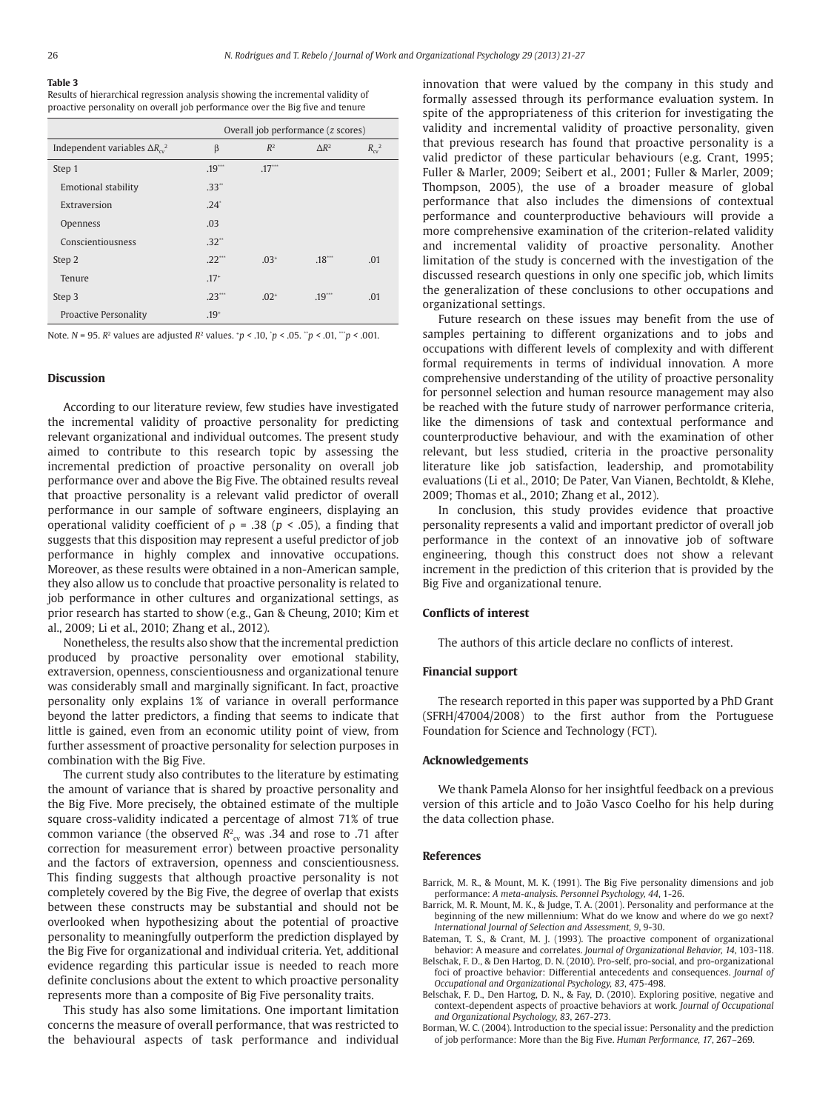# **Table 3**

Results of hierarchical regression analysis showing the incremental validity of proactive personality on overall job performance over the Big five and tenure

|                                             | Overall job performance (z scores) |           |              |                           |  |  |
|---------------------------------------------|------------------------------------|-----------|--------------|---------------------------|--|--|
| Independent variables $\Delta R_{\alpha}^2$ | β                                  | $R^2$     | $\Delta R^2$ | $R_{\rm cv}$ <sup>2</sup> |  |  |
| Step 1                                      | .19                                | .17       |              |                           |  |  |
| Emotional stability                         | .33"                               |           |              |                           |  |  |
| Extraversion                                | $.24^{\circ}$                      |           |              |                           |  |  |
| Openness                                    | .03                                |           |              |                           |  |  |
| Conscientiousness                           | .32"                               |           |              |                           |  |  |
| Step 2                                      | $.22$ ***                          | $.03+$    | .18          | .01                       |  |  |
| Tenure                                      | $.17+$                             |           |              |                           |  |  |
| Step 3                                      | $.23$ <sup>***</sup>               | $.02^{+}$ | $.19***$     | .01                       |  |  |
| Proactive Personality                       | $.19^{+}$                          |           |              |                           |  |  |

Note. *N* = 95. *R*2 values are adjusted *R*2 values. + *p <* .10, \* *p* < .05. \*\**p <* .01, \*\*\**p <* .001.

# **Discussion**

According to our literature review, few studies have investigated the incremental validity of proactive personality for predicting relevant organizational and individual outcomes. The present study aimed to contribute to this research topic by assessing the incremental prediction of proactive personality on overall job performance over and above the Big Five. The obtained results reveal that proactive personality is a relevant valid predictor of overall performance in our sample of software engineers, displaying an operational validity coefficient of ρ = .38 (*p* < .05), a finding that suggests that this disposition may represent a useful predictor of job performance in highly complex and innovative occupations. Moreover, as these results were obtained in a non-American sample, they also allow us to conclude that proactive personality is related to job performance in other cultures and organizational settings, as prior research has started to show (e.g., Gan & Cheung, 2010; Kim et al., 2009; Li et al., 2010; Zhang et al., 2012).

Nonetheless, the results also show that the incremental prediction produced by proactive personality over emotional stability, extraversion, openness, conscientiousness and organizational tenure was considerably small and marginally significant. In fact, proactive personality only explains 1% of variance in overall performance beyond the latter predictors, a finding that seems to indicate that little is gained, even from an economic utility point of view, from further assessment of proactive personality for selection purposes in combination with the Big Five.

The current study also contributes to the literature by estimating the amount of variance that is shared by proactive personality and the Big Five. More precisely, the obtained estimate of the multiple square cross-validity indicated a percentage of almost 71% of true common variance (the observed  $R^2_{\text{cv}}$  was .34 and rose to .71 after correction for measurement error) between proactive personality and the factors of extraversion, openness and conscientiousness. This finding suggests that although proactive personality is not completely covered by the Big Five, the degree of overlap that exists between these constructs may be substantial and should not be overlooked when hypothesizing about the potential of proactive personality to meaningfully outperform the prediction displayed by the Big Five for organizational and individual criteria. Yet, additional evidence regarding this particular issue is needed to reach more definite conclusions about the extent to which proactive personality represents more than a composite of Big Five personality traits.

This study has also some limitations. One important limitation concerns the measure of overall performance, that was restricted to the behavioural aspects of task performance and individual

innovation that were valued by the company in this study and formally assessed through its performance evaluation system. In spite of the appropriateness of this criterion for investigating the validity and incremental validity of proactive personality, given that previous research has found that proactive personality is a valid predictor of these particular behaviours (e.g. Crant, 1995; Fuller & Marler, 2009; Seibert et al., 2001; Fuller & Marler, 2009; Thompson, 2005), the use of a broader measure of global performance that also includes the dimensions of contextual performance and counterproductive behaviours will provide a more comprehensive examination of the criterion-related validity and incremental validity of proactive personality. Another limitation of the study is concerned with the investigation of the discussed research questions in only one specific job, which limits the generalization of these conclusions to other occupations and organizational settings.

Future research on these issues may benefit from the use of samples pertaining to different organizations and to jobs and occupations with different levels of complexity and with different formal requirements in terms of individual innovation*.* A more comprehensive understanding of the utility of proactive personality for personnel selection and human resource management may also be reached with the future study of narrower performance criteria, like the dimensions of task and contextual performance and counterproductive behaviour, and with the examination of other relevant, but less studied, criteria in the proactive personality literature like job satisfaction, leadership, and promotability evaluations (Li et al., 2010; De Pater, Van Vianen, Bechtoldt, & Klehe, 2009; Thomas et al., 2010; Zhang et al., 2012).

In conclusion, this study provides evidence that proactive personality represents a valid and important predictor of overall job performance in the context of an innovative job of software engineering, though this construct does not show a relevant increment in the prediction of this criterion that is provided by the Big Five and organizational tenure.

# **Conflicts of interest**

The authors of this article declare no conflicts of interest.

## **Financial support**

The research reported in this paper was supported by a PhD Grant (SFRH/47004/2008) to the first author from the Portuguese Foundation for Science and Technology (FCT).

#### **Acknowledgements**

We thank Pamela Alonso for her insightful feedback on a previous version of this article and to João Vasco Coelho for his help during the data collection phase.

# **References**

- Barrick, M. R., & Mount, M. K. (1991). The Big Five personality dimensions and job performance: *A meta-analysis. Personnel Psychology, 44*, 1-26.
- Barrick, M. R. Mount, M. K., & Judge, T. A. (2001). Personality and performance at the beginning of the new millennium: What do we know and where do we go next? *International Journal of Selection and Assessment, 9*, 9-30.
- Bateman, T. S., & Crant, M. J. (1993). The proactive component of organizational behavior: A measure and correlates. *Journal of Organizational Behavior, 14*, 103-118.
- Belschak, F. D., & Den Hartog, D. N. (2010). Pro-self, pro-social, and pro-organizational foci of proactive behavior: Differential antecedents and consequences. *Journal of Occupational and Organizational Psychology, 83*, 475-498.
- Belschak, F. D., Den Hartog, D. N., & Fay, D. (2010). Exploring positive, negative and context-dependent aspects of proactive behaviors at work*. Journal of Occupational and Organizational Psychology, 83*, 267-273.
- Borman, W. C. (2004). Introduction to the special issue: Personality and the prediction of job performance: More than the Big Five. *Human Performance, 17*, 267–269.